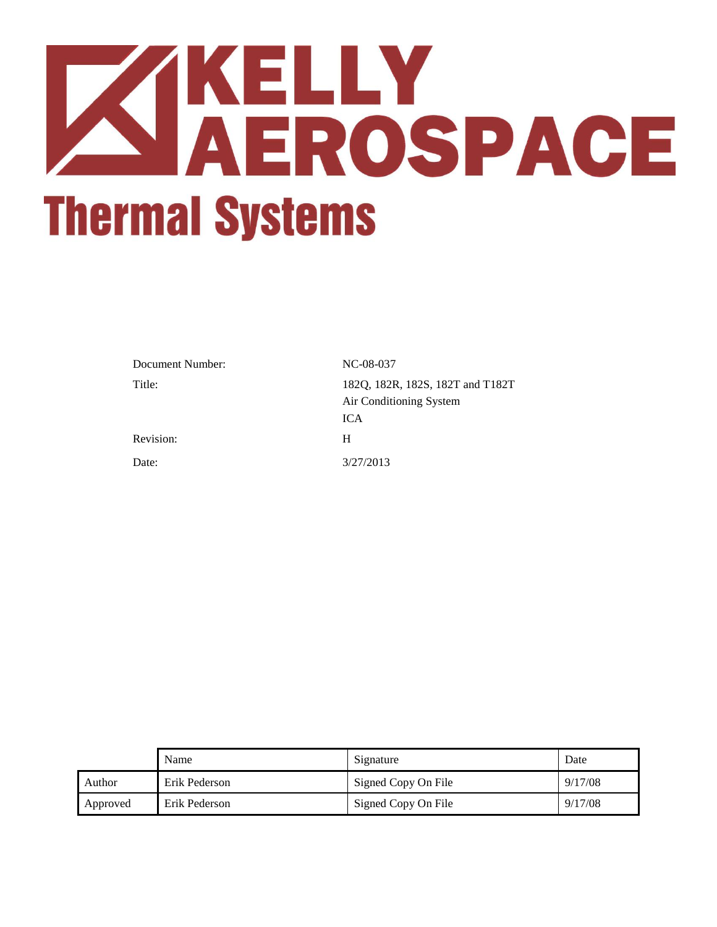# **ZAKELLY<br>AEROSPACE Thermal Systems**

| Document Number: | NC-08-037                                                   |
|------------------|-------------------------------------------------------------|
| Title:           | 182Q, 182R, 182S, 182T and T182T<br>Air Conditioning System |
|                  | <b>ICA</b>                                                  |
| Revision:        | H                                                           |
| Date:            | 3/27/2013                                                   |

|          | Name          | Signature           | Date    |
|----------|---------------|---------------------|---------|
| Author   | Erik Pederson | Signed Copy On File | 9/17/08 |
| Approved | Erik Pederson | Signed Copy On File | 9/17/08 |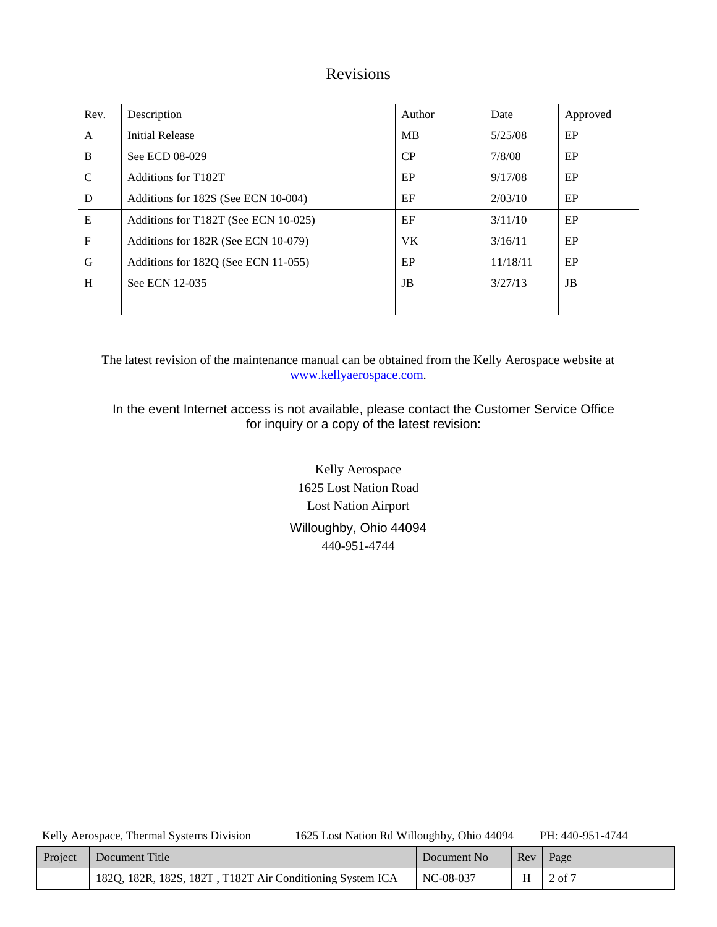# Revisions

| Rev.          | Description                          | Author | Date     | Approved |
|---------------|--------------------------------------|--------|----------|----------|
| A             | <b>Initial Release</b>               | MB     | 5/25/08  | EP       |
| B             | See ECD 08-029                       | CP     | 7/8/08   | EP       |
| $\mathcal{C}$ | Additions for T182T                  | EP     | 9/17/08  | EP       |
| D             | Additions for 182S (See ECN 10-004)  | EF     | 2/03/10  | EP       |
| E             | Additions for T182T (See ECN 10-025) | EF     | 3/11/10  | EP       |
| $\mathbf F$   | Additions for 182R (See ECN 10-079)  | VK.    | 3/16/11  | EP       |
| G             | Additions for 182Q (See ECN 11-055)  | EP     | 11/18/11 | EP       |
| H             | See ECN 12-035                       | JB     | 3/27/13  | JB       |
|               |                                      |        |          |          |

The latest revision of the maintenance manual can be obtained from the Kelly Aerospace website at [www.kellyaerospace.com.](http://www.kellyaerospace.com/)

In the event Internet access is not available, please contact the Customer Service Office for inquiry or a copy of the latest revision:

> Kelly Aerospace 1625 Lost Nation Road Lost Nation Airport Willoughby, Ohio 44094 440-951-4744

| Project | Document Title                                            | Document No | $\mathsf{Re}v$ | Page            |
|---------|-----------------------------------------------------------|-------------|----------------|-----------------|
|         | 182Q, 182R, 182S, 182T, T182T Air Conditioning System ICA | NC-08-037   |                | $H \mid 2$ of 7 |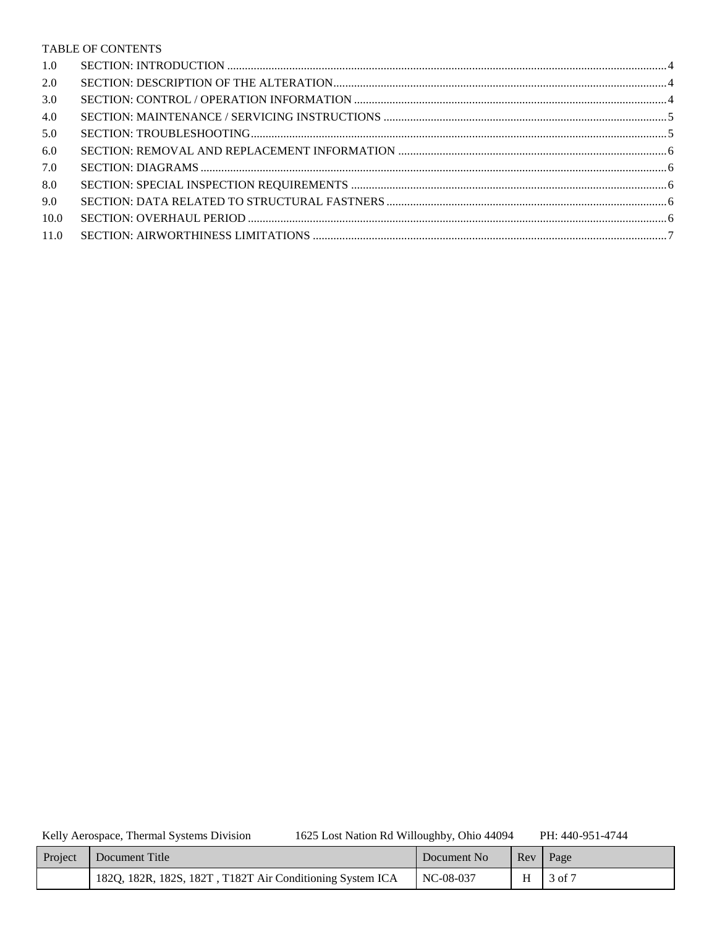#### TABLE OF CONTENTS

| 1.0  |  |
|------|--|
| 2.0  |  |
| 3.0  |  |
| 4.0  |  |
| 5.0  |  |
| 6.0  |  |
| 7.0  |  |
| 8.0  |  |
| 9.0  |  |
| 10.0 |  |
| 11.0 |  |

Kelly Aerospace, Thermal Systems Division

1625 Lost Nation Rd Willoughby, Ohio 44094

PH: 440-951-4744

| Project | Document Title                                            | Document No | $\mathbb{R}$ $\mathbb{R}$ | Page   |
|---------|-----------------------------------------------------------|-------------|---------------------------|--------|
|         | 182Q, 182R, 182S, 182T, T182T Air Conditioning System ICA | NC-08-037   | H                         | 3 of 7 |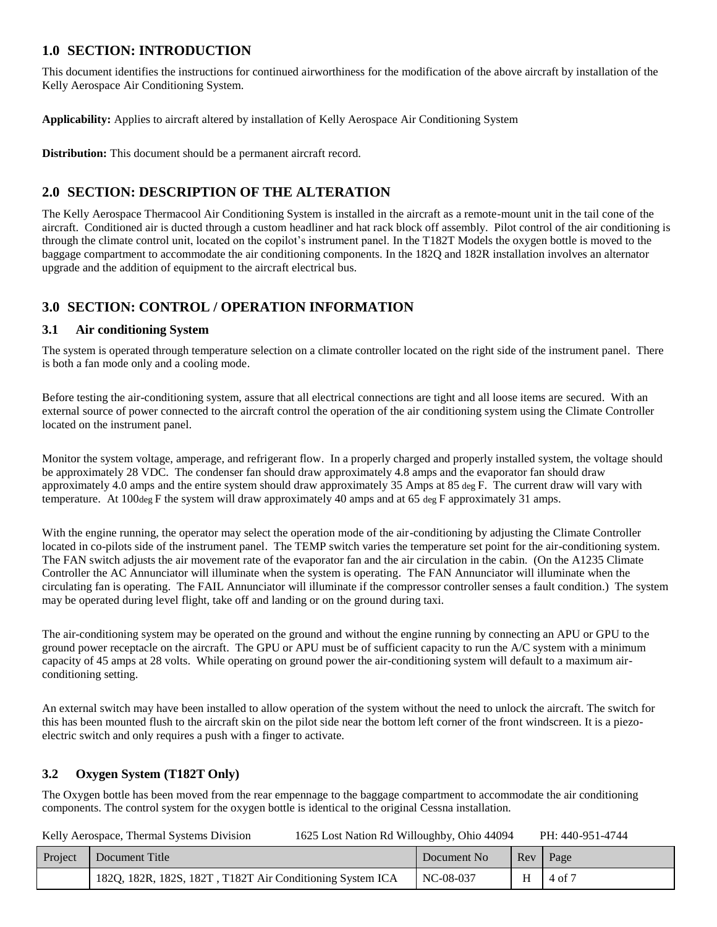## <span id="page-3-0"></span>**1.0 SECTION: INTRODUCTION**

This document identifies the instructions for continued airworthiness for the modification of the above aircraft by installation of the Kelly Aerospace Air Conditioning System.

**Applicability:** Applies to aircraft altered by installation of Kelly Aerospace Air Conditioning System

**Distribution:** This document should be a permanent aircraft record.

## <span id="page-3-1"></span>**2.0 SECTION: DESCRIPTION OF THE ALTERATION**

The Kelly Aerospace Thermacool Air Conditioning System is installed in the aircraft as a remote-mount unit in the tail cone of the aircraft. Conditioned air is ducted through a custom headliner and hat rack block off assembly. Pilot control of the air conditioning is through the climate control unit, located on the copilot's instrument panel. In the T182T Models the oxygen bottle is moved to the baggage compartment to accommodate the air conditioning components. In the 182Q and 182R installation involves an alternator upgrade and the addition of equipment to the aircraft electrical bus.

## <span id="page-3-2"></span>**3.0 SECTION: CONTROL / OPERATION INFORMATION**

#### **3.1 Air conditioning System**

The system is operated through temperature selection on a climate controller located on the right side of the instrument panel. There is both a fan mode only and a cooling mode.

Before testing the air-conditioning system, assure that all electrical connections are tight and all loose items are secured. With an external source of power connected to the aircraft control the operation of the air conditioning system using the Climate Controller located on the instrument panel.

Monitor the system voltage, amperage, and refrigerant flow. In a properly charged and properly installed system, the voltage should be approximately 28 VDC. The condenser fan should draw approximately 4.8 amps and the evaporator fan should draw approximately 4.0 amps and the entire system should draw approximately 35 Amps at 85 deg  $F$ . The current draw will vary with temperature. At 100deg F the system will draw approximately 40 amps and at 65 deg F approximately 31 amps.

With the engine running, the operator may select the operation mode of the air-conditioning by adjusting the Climate Controller located in co-pilots side of the instrument panel. The TEMP switch varies the temperature set point for the air-conditioning system. The FAN switch adjusts the air movement rate of the evaporator fan and the air circulation in the cabin. (On the A1235 Climate Controller the AC Annunciator will illuminate when the system is operating. The FAN Annunciator will illuminate when the circulating fan is operating. The FAIL Annunciator will illuminate if the compressor controller senses a fault condition.) The system may be operated during level flight, take off and landing or on the ground during taxi.

The air-conditioning system may be operated on the ground and without the engine running by connecting an APU or GPU to the ground power receptacle on the aircraft. The GPU or APU must be of sufficient capacity to run the A/C system with a minimum capacity of 45 amps at 28 volts. While operating on ground power the air-conditioning system will default to a maximum airconditioning setting.

An external switch may have been installed to allow operation of the system without the need to unlock the aircraft. The switch for this has been mounted flush to the aircraft skin on the pilot side near the bottom left corner of the front windscreen. It is a piezoelectric switch and only requires a push with a finger to activate.

## **3.2 Oxygen System (T182T Only)**

The Oxygen bottle has been moved from the rear empennage to the baggage compartment to accommodate the air conditioning components. The control system for the oxygen bottle is identical to the original Cessna installation.

| Project | Document Title                                            | Document No | Rev Page |        |
|---------|-----------------------------------------------------------|-------------|----------|--------|
|         | 182Q, 182R, 182S, 182T, T182T Air Conditioning System ICA | NC-08-037   | H        | 4 of 7 |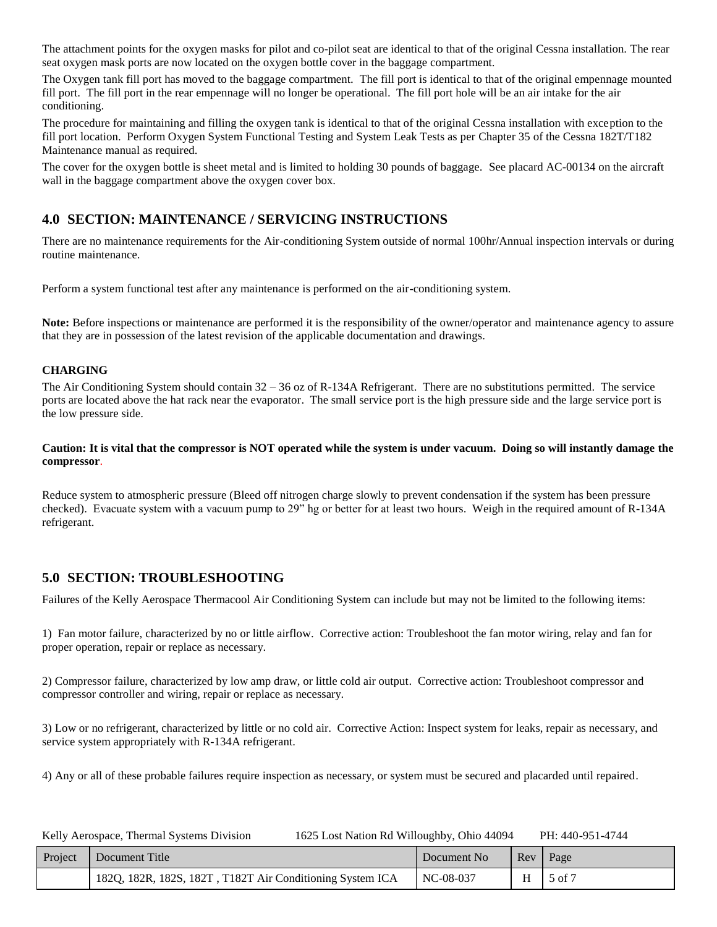The attachment points for the oxygen masks for pilot and co-pilot seat are identical to that of the original Cessna installation. The rear seat oxygen mask ports are now located on the oxygen bottle cover in the baggage compartment.

The Oxygen tank fill port has moved to the baggage compartment. The fill port is identical to that of the original empennage mounted fill port. The fill port in the rear empennage will no longer be operational. The fill port hole will be an air intake for the air conditioning.

The procedure for maintaining and filling the oxygen tank is identical to that of the original Cessna installation with exception to the fill port location. Perform Oxygen System Functional Testing and System Leak Tests as per Chapter 35 of the Cessna 182T/T182 Maintenance manual as required.

The cover for the oxygen bottle is sheet metal and is limited to holding 30 pounds of baggage. See placard AC-00134 on the aircraft wall in the baggage compartment above the oxygen cover box.

## <span id="page-4-0"></span>**4.0 SECTION: MAINTENANCE / SERVICING INSTRUCTIONS**

There are no maintenance requirements for the Air-conditioning System outside of normal 100hr/Annual inspection intervals or during routine maintenance.

Perform a system functional test after any maintenance is performed on the air-conditioning system.

**Note:** Before inspections or maintenance are performed it is the responsibility of the owner/operator and maintenance agency to assure that they are in possession of the latest revision of the applicable documentation and drawings.

#### **CHARGING**

The Air Conditioning System should contain 32 – 36 oz of R-134A Refrigerant. There are no substitutions permitted. The service ports are located above the hat rack near the evaporator. The small service port is the high pressure side and the large service port is the low pressure side.

#### **Caution: It is vital that the compressor is NOT operated while the system is under vacuum. Doing so will instantly damage the compressor**.

Reduce system to atmospheric pressure (Bleed off nitrogen charge slowly to prevent condensation if the system has been pressure checked). Evacuate system with a vacuum pump to 29" hg or better for at least two hours. Weigh in the required amount of R-134A refrigerant.

## <span id="page-4-1"></span>**5.0 SECTION: TROUBLESHOOTING**

Failures of the Kelly Aerospace Thermacool Air Conditioning System can include but may not be limited to the following items:

1) Fan motor failure, characterized by no or little airflow. Corrective action: Troubleshoot the fan motor wiring, relay and fan for proper operation, repair or replace as necessary.

2) Compressor failure, characterized by low amp draw, or little cold air output. Corrective action: Troubleshoot compressor and compressor controller and wiring, repair or replace as necessary.

3) Low or no refrigerant, characterized by little or no cold air. Corrective Action: Inspect system for leaks, repair as necessary, and service system appropriately with R-134A refrigerant.

4) Any or all of these probable failures require inspection as necessary, or system must be secured and placarded until repaired.

| Project | Document Title                                            | Document No | Rev | Page              |
|---------|-----------------------------------------------------------|-------------|-----|-------------------|
|         | 182Q, 182R, 182S, 182T, T182T Air Conditioning System ICA | NC-08-037   |     | $5 \text{ of } 7$ |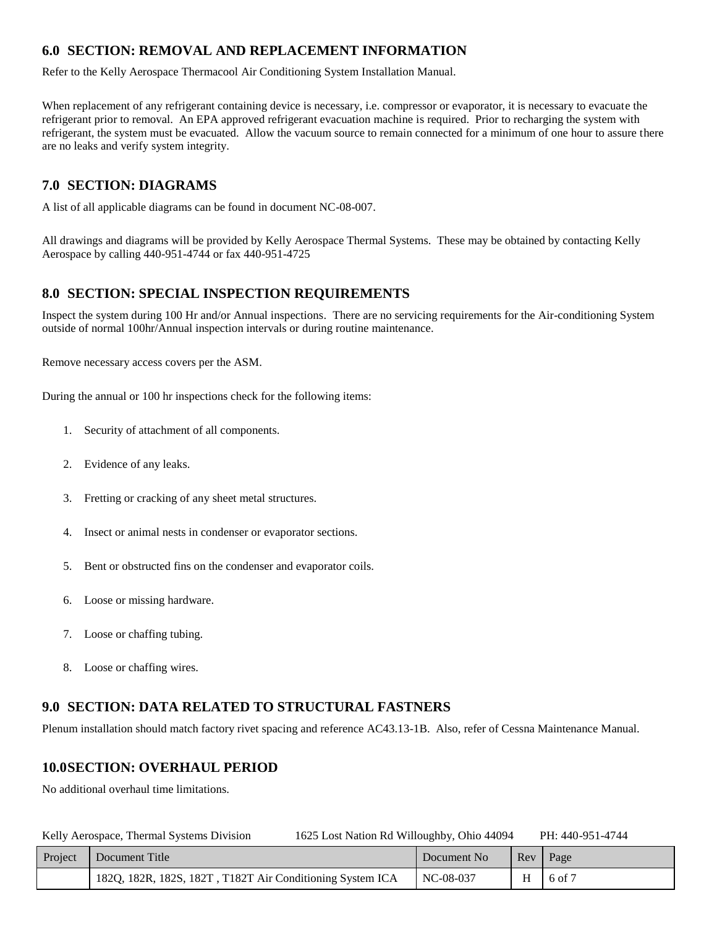# <span id="page-5-0"></span>**6.0 SECTION: REMOVAL AND REPLACEMENT INFORMATION**

Refer to the Kelly Aerospace Thermacool Air Conditioning System Installation Manual.

When replacement of any refrigerant containing device is necessary, i.e. compressor or evaporator, it is necessary to evacuate the refrigerant prior to removal. An EPA approved refrigerant evacuation machine is required. Prior to recharging the system with refrigerant, the system must be evacuated. Allow the vacuum source to remain connected for a minimum of one hour to assure there are no leaks and verify system integrity.

## <span id="page-5-1"></span>**7.0 SECTION: DIAGRAMS**

A list of all applicable diagrams can be found in document NC-08-007.

All drawings and diagrams will be provided by Kelly Aerospace Thermal Systems. These may be obtained by contacting Kelly Aerospace by calling 440-951-4744 or fax 440-951-4725

## <span id="page-5-2"></span>**8.0 SECTION: SPECIAL INSPECTION REQUIREMENTS**

Inspect the system during 100 Hr and/or Annual inspections. There are no servicing requirements for the Air-conditioning System outside of normal 100hr/Annual inspection intervals or during routine maintenance.

Remove necessary access covers per the ASM.

During the annual or 100 hr inspections check for the following items:

- 1. Security of attachment of all components.
- 2. Evidence of any leaks.
- 3. Fretting or cracking of any sheet metal structures.
- 4. Insect or animal nests in condenser or evaporator sections.
- 5. Bent or obstructed fins on the condenser and evaporator coils.
- 6. Loose or missing hardware.
- 7. Loose or chaffing tubing.
- 8. Loose or chaffing wires.

## <span id="page-5-3"></span>**9.0 SECTION: DATA RELATED TO STRUCTURAL FASTNERS**

Plenum installation should match factory rivet spacing and reference AC43.13-1B. Also, refer of Cessna Maintenance Manual.

## <span id="page-5-4"></span>**10.0SECTION: OVERHAUL PERIOD**

No additional overhaul time limitations.

| Kelly Aerospace, Thermal Systems Division | 1625 Lost Nation Rd Willoughby, Ohio 44094 | PH: 440-951-4744 |
|-------------------------------------------|--------------------------------------------|------------------|
|                                           |                                            |                  |

| Project | Document Title                                            | Document No |   | Rev   Page     |
|---------|-----------------------------------------------------------|-------------|---|----------------|
|         | 182Q, 182R, 182S, 182T, T182T Air Conditioning System ICA | NC-08-037   | H | $\vert$ 6 of 7 |